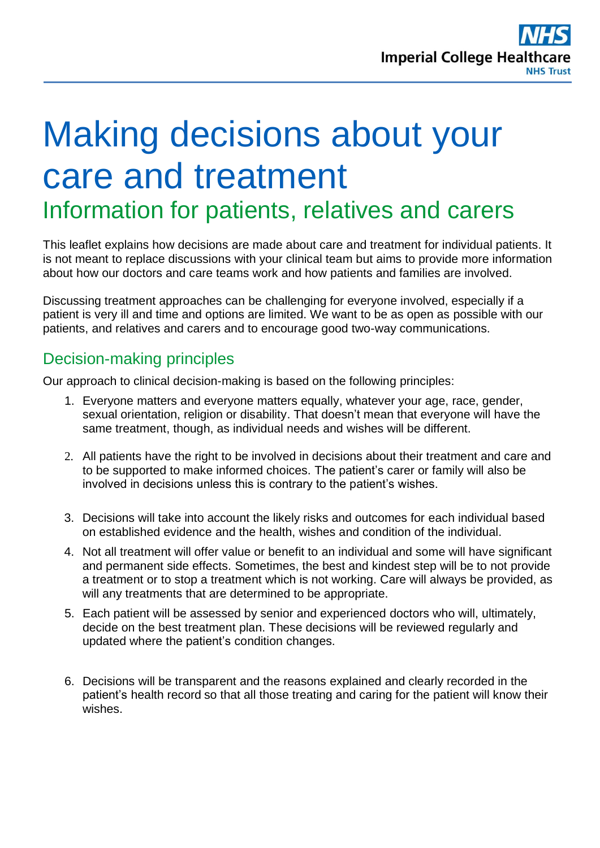# Making decisions about your care and treatment

# Information for patients, relatives and carers

This leaflet explains how decisions are made about care and treatment for individual patients. It is not meant to replace discussions with your clinical team but aims to provide more information about how our doctors and care teams work and how patients and families are involved.

Discussing treatment approaches can be challenging for everyone involved, especially if a patient is very ill and time and options are limited. We want to be as open as possible with our patients, and relatives and carers and to encourage good two-way communications.

### Decision-making principles

Our approach to clinical decision-making is based on the following principles:

- 1. Everyone matters and everyone matters equally, whatever your age, race, gender, sexual orientation, religion or disability. That doesn't mean that everyone will have the same treatment, though, as individual needs and wishes will be different.
- 2. All patients have the right to be involved in decisions about their treatment and care and to be supported to make informed choices. The patient's carer or family will also be involved in decisions unless this is contrary to the patient's wishes.
- 3. Decisions will take into account the likely risks and outcomes for each individual based on established evidence and the health, wishes and condition of the individual.
- 4. Not all treatment will offer value or benefit to an individual and some will have significant and permanent side effects. Sometimes, the best and kindest step will be to not provide a treatment or to stop a treatment which is not working. Care will always be provided, as will any treatments that are determined to be appropriate.
- 5. Each patient will be assessed by senior and experienced doctors who will, ultimately, decide on the best treatment plan. These decisions will be reviewed regularly and updated where the patient's condition changes.
- 6. Decisions will be transparent and the reasons explained and clearly recorded in the patient's health record so that all those treating and caring for the patient will know their wishes.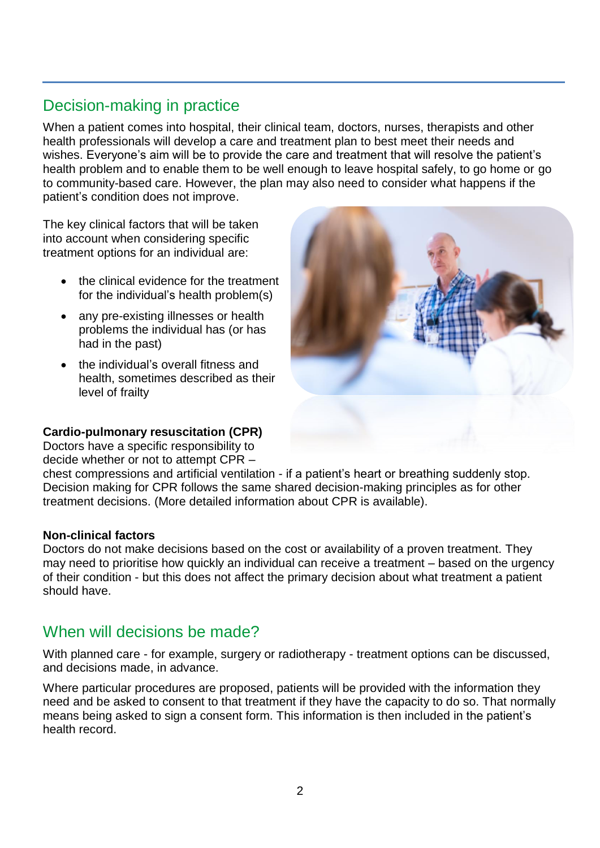# Decision-making in practice

When a patient comes into hospital, their clinical team, doctors, nurses, therapists and other health professionals will develop a care and treatment plan to best meet their needs and wishes. Everyone's aim will be to provide the care and treatment that will resolve the patient's health problem and to enable them to be well enough to leave hospital safely, to go home or go to community-based care. However, the plan may also need to consider what happens if the patient's condition does not improve.

The key clinical factors that will be taken into account when considering specific treatment options for an individual are:

- the clinical evidence for the treatment for the individual's health problem(s)
- any pre-existing illnesses or health problems the individual has (or has had in the past)
- the individual's overall fitness and health, sometimes described as their level of frailty

#### **Cardio-pulmonary resuscitation (CPR)**

Doctors have a specific responsibility to decide whether or not to attempt CPR –



chest compressions and artificial ventilation - if a patient's heart or breathing suddenly stop. Decision making for CPR follows the same shared decision-making principles as for other treatment decisions. (More detailed information about CPR is available).

#### **Non-clinical factors**

Doctors do not make decisions based on the cost or availability of a proven treatment. They may need to prioritise how quickly an individual can receive a treatment – based on the urgency of their condition - but this does not affect the primary decision about what treatment a patient should have.

#### When will decisions be made?

With planned care - for example, surgery or radiotherapy - treatment options can be discussed, and decisions made, in advance.

Where particular procedures are proposed, patients will be provided with the information they need and be asked to consent to that treatment if they have the capacity to do so. That normally means being asked to sign a consent form. This information is then included in the patient's health record.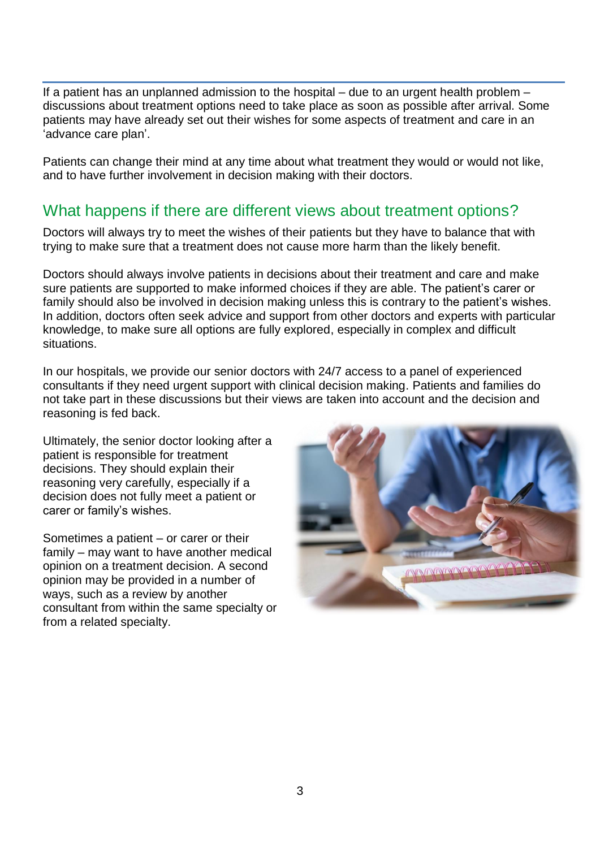If a patient has an unplanned admission to the hospital – due to an urgent health problem – discussions about treatment options need to take place as soon as possible after arrival. Some patients may have already set out their wishes for some aspects of treatment and care in an 'advance care plan'.

Patients can change their mind at any time about what treatment they would or would not like, and to have further involvement in decision making with their doctors.

#### What happens if there are different views about treatment options?

Doctors will always try to meet the wishes of their patients but they have to balance that with trying to make sure that a treatment does not cause more harm than the likely benefit.

Doctors should always involve patients in decisions about their treatment and care and make sure patients are supported to make informed choices if they are able. The patient's carer or family should also be involved in decision making unless this is contrary to the patient's wishes. In addition, doctors often seek advice and support from other doctors and experts with particular knowledge, to make sure all options are fully explored, especially in complex and difficult situations.

In our hospitals, we provide our senior doctors with 24/7 access to a panel of experienced consultants if they need urgent support with clinical decision making. Patients and families do not take part in these discussions but their views are taken into account and the decision and reasoning is fed back.

Ultimately, the senior doctor looking after a patient is responsible for treatment decisions. They should explain their reasoning very carefully, especially if a decision does not fully meet a patient or carer or family's wishes.

Sometimes a patient – or carer or their family – may want to have another medical opinion on a treatment decision. A second opinion may be provided in a number of ways, such as a review by another consultant from within the same specialty or from a related specialty.